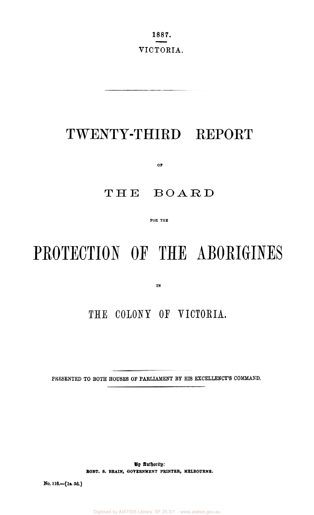1887. VICTORIA.

## TWENTY-THIRD REPORT

 $O\bar{F}$ 

#### THE BOARD

FOR THE

# PROTECTION OF THE ABORIGINES

IN

### THE COLONY OF VICTORIA.

PRESENTED TO BOTH HOUSES OF PARLIAMENT BY HIS EXCELLENCY'S COMMAND.

By Authority: ROBT. S. BRAIN, GOVERNMENT PRINTER, MELBOURNE.

No. 116.-[1s. 3d.]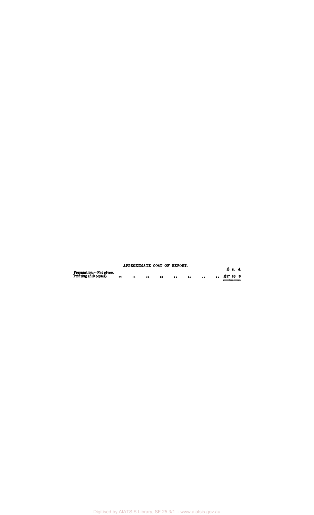#### Preparation.—Not given.<br>Printing (810 copies) •• •• •• ••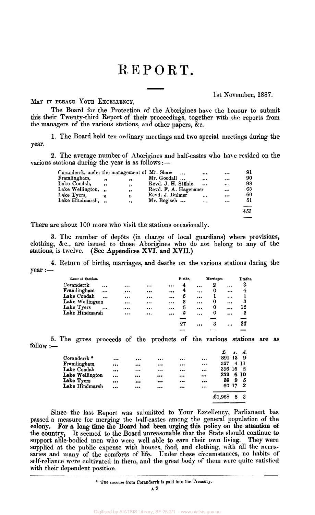# REPORT.  $\frac{POR}{P}$

**MAY** IT **PLEASE** Yom **EXCELLEKCY,** 

1st November, 1887.

The Board for the Protection of the Aborigines have the honour to submit this their Twenty-third Report of their proceedings, together with the reports from the managers **of** the various stations, and other papers, &c.

1. The Board held ten ordinary meetings and two special meetings during the year.

**2.** The average number of Aborigines and half-castes who have resided on the various stations during the year is as follows :-

| Coranderrk, under the management of Mr. Shaw |              |    | $\cdots$              |          | $\cdots$ | 91  |
|----------------------------------------------|--------------|----|-----------------------|----------|----------|-----|
| Framlingham,                                 | ,,           | "  | Mr. Goodall           | $\cdots$ |          | 90  |
| Lake Condah,                                 | , ,          | "  | Revd. J. H. Stähle    | $\cdots$ | $\cdots$ | 98  |
| Lake Wellington,                             | , ,          | ,, | Revd. F. A. Hagenauer |          | $\cdots$ | 63  |
| Lake Tyers,                                  |              | 95 | Revd. J. Bulmer       | $\cdots$ |          | 60  |
| Lake Hindmarsh,                              | $^{\bullet}$ | ,, | Mr. Bogisch           | $\cdots$ | $\cdots$ | 51  |
|                                              |              |    |                       |          |          | --  |
|                                              |              |    |                       |          |          | 453 |
|                                              |              |    |                       |          |          |     |

There are about 100 more who visit the stations occasionally.

**3.** The number **of** dep6ts (in charge of local guardians) where provisions, clothing, &e., are issued to those Aborigines who do not belong to any of the stations, is twelve. (See Appendices **XVI.** and **XVII.)** 

**4.** Return of births, marriages, and deaths on the various stations during the  $year :=$ 

|          |                         |          | Births. |           |   |          | Deaths.        |
|----------|-------------------------|----------|---------|-----------|---|----------|----------------|
| $\cdots$ | $\cdots$                | $\cdots$ | 4       | $\cdots$  | 2 | $\cdots$ | 3              |
| $\cdots$ | $\bullet\bullet\bullet$ |          | 4       | $\cdots$  | 0 |          | $\overline{4}$ |
| $\cdots$ |                         | $\cdots$ | 5       |           |   |          |                |
|          | $\cdots$                | $\cdots$ | 3       | $\cdots$  | 0 | $\cdots$ | 3              |
|          | $\cdots$                |          | 6       | $\cdots$  | 0 | $\cdots$ | 12             |
| $\cdots$ | $\cdots$                | $\cdots$ | 5       | $\ddotsc$ | 0 |          | 2              |
|          |                         |          |         |           |   |          |                |
|          |                         |          | 27      |           | 3 |          | 25             |
|          |                         |          |         |           |   |          |                |
|          |                         |          |         |           |   |          | Marriages.     |

*5.* The gross proceeds of the products of the **various** stations are **as**  follow :-

|          |          | $\cdots$                |          | $\cdots$                | 891    | 13 | - 9   |              |
|----------|----------|-------------------------|----------|-------------------------|--------|----|-------|--------------|
| $\cdots$ | $\cdots$ |                         |          | $\cdots$                | 327    |    |       |              |
|          | $\cdots$ |                         |          |                         | 396    | 16 | - 2   |              |
| $\cdots$ |          | $\bullet\bullet\bullet$ | $\cdots$ |                         | 252    |    |       |              |
|          | $\cdots$ | $\bullet\bullet\bullet$ |          | $\bullet\bullet\bullet$ | 39     | 9  | 5     |              |
|          |          | $\cdots$                |          | $\cdots$                |        |    | - 2   |              |
|          |          |                         |          |                         |        |    |       |              |
|          |          |                         |          |                         | £1,968 | 8  |       |              |
|          |          |                         |          |                         |        |    | 60 17 | 4 11<br>6 10 |

Since the last Report was submitted to Your Excellency, Parliament has passed a measure for merging the half-castes among the general population of the colony. For a long time the Board had been urging this policy on the attention of support able-bodied men who were well able *to* earn their own living. They were supplied at the public expense with houses, food, and clothing, with all the necessaries and many of the comforts of life. Under these circumstances, no habits of self-reliance were cultivated in them, and the great body of them were quite satisfied with their dependent position. colony. For a long time the Board had been urging this policy on the attention of<br>the country, It seemed to the Board unreasonable that the State should continue to .-

<sup>\*</sup> **The income from Corauderrk is paid into the Treasury.**